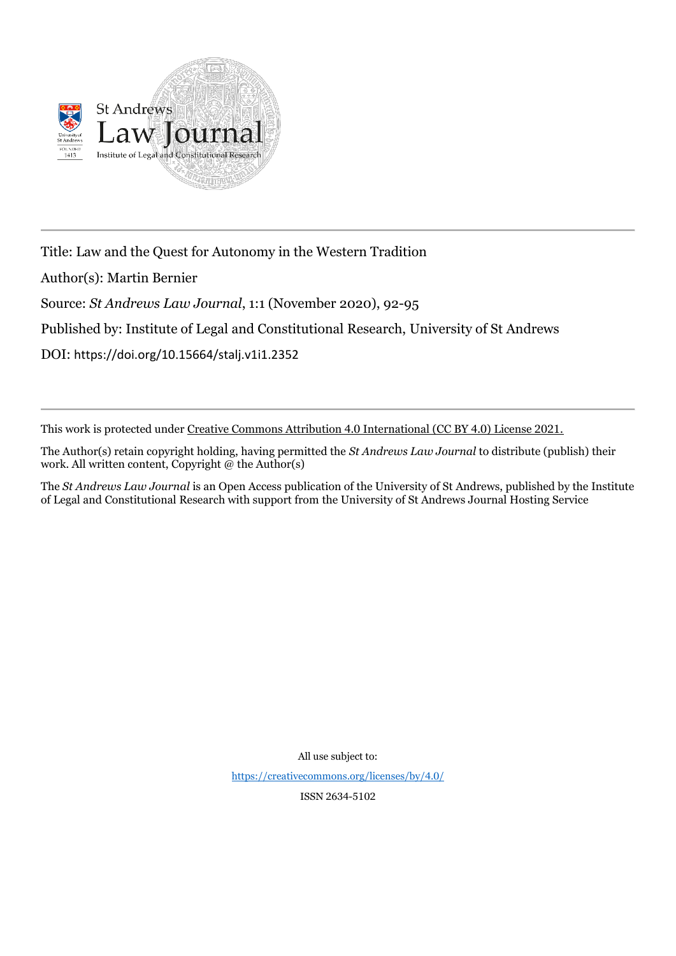

Title: Law and the Quest for Autonomy in the Western Tradition

Author(s): Martin Bernier

Source: *St Andrews Law Journal*, 1:1 (November 2020), 92-95

Published by: Institute of Legal and Constitutional Research, University of St Andrews

DOI: https://doi.org/10.15664/stalj.v1i1.2352

This work is protected under Creative Commons Attribution 4.0 International (CC BY 4.0) License 2021.

The Author(s) retain copyright holding, having permitted the *St Andrews Law Journal* to distribute (publish) their work. All written content, Copyright  $@$  the Author(s)

The *St Andrews Law Journal* is an Open Access publication of the University of St Andrews, published by the Institute of Legal and Constitutional Research with support from the University of St Andrews Journal Hosting Service

All use subject to:

<https://creativecommons.org/licenses/by/4.0/>

ISSN 2634-5102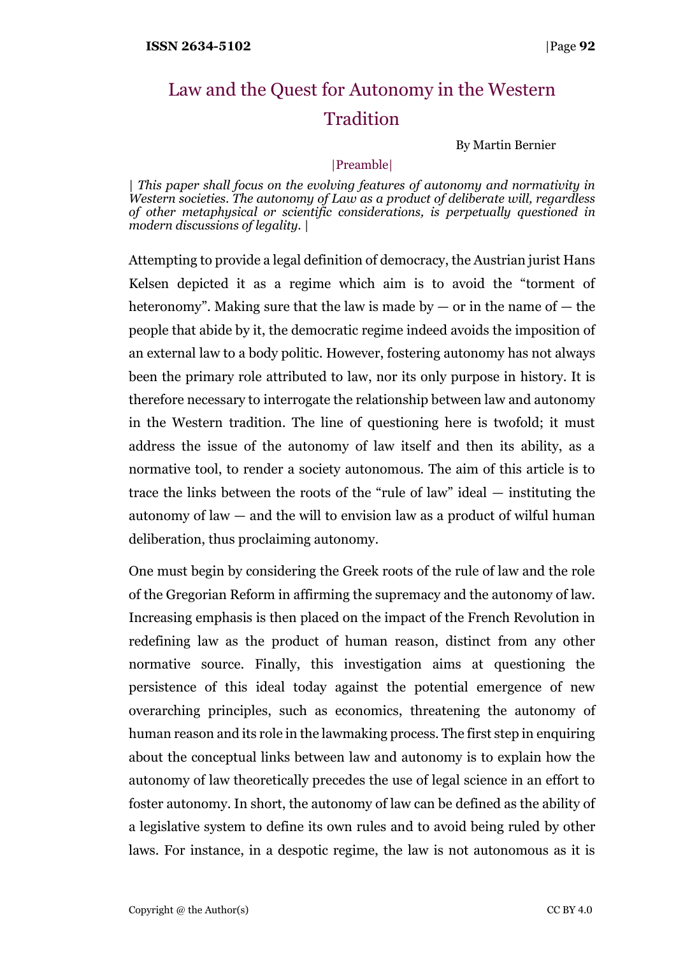## Law and the Quest for Autonomy in the Western Tradition

By Martin Bernier

## |Preamble|

| *This paper shall focus on the evolving features of autonomy and normativity in Western societies. The autonomy of Law as a product of deliberate will, regardless of other metaphysical or scientific considerations, is perpetually questioned in modern discussions of legality.* |

Attempting to provide a legal definition of democracy, the Austrian jurist Hans Kelsen depicted it as a regime which aim is to avoid the "torment of heteronomy". Making sure that the law is made by  $-$  or in the name of  $-$  the people that abide by it, the democratic regime indeed avoids the imposition of an external law to a body politic. However, fostering autonomy has not always been the primary role attributed to law, nor its only purpose in history. It is therefore necessary to interrogate the relationship between law and autonomy in the Western tradition. The line of questioning here is twofold; it must address the issue of the autonomy of law itself and then its ability, as a normative tool, to render a society autonomous. The aim of this article is to trace the links between the roots of the "rule of law" ideal — instituting the autonomy of law — and the will to envision law as a product of wilful human deliberation, thus proclaiming autonomy.

One must begin by considering the Greek roots of the rule of law and the role of the Gregorian Reform in affirming the supremacy and the autonomy of law. Increasing emphasis is then placed on the impact of the French Revolution in redefining law as the product of human reason, distinct from any other normative source. Finally, this investigation aims at questioning the persistence of this ideal today against the potential emergence of new overarching principles, such as economics, threatening the autonomy of human reason and its role in the lawmaking process. The first step in enquiring about the conceptual links between law and autonomy is to explain how the autonomy of law theoretically precedes the use of legal science in an effort to foster autonomy. In short, the autonomy of law can be defined as the ability of a legislative system to define its own rules and to avoid being ruled by other laws. For instance, in a despotic regime, the law is not autonomous as it is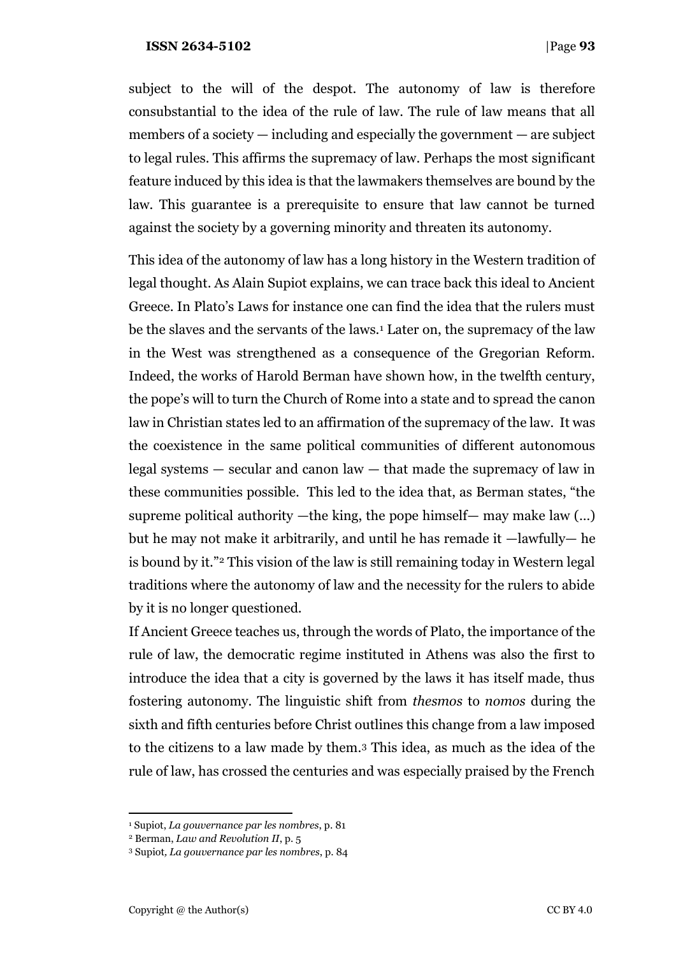subject to the will of the despot. The autonomy of law is therefore consubstantial to the idea of the rule of law. The rule of law means that all members of a society — including and especially the government — are subject to legal rules. This affirms the supremacy of law. Perhaps the most significant feature induced by this idea is that the lawmakers themselves are bound by the law. This guarantee is a prerequisite to ensure that law cannot be turned against the society by a governing minority and threaten its autonomy.

This idea of the autonomy of law has a long history in the Western tradition of legal thought. As Alain Supiot explains, we can trace back this ideal to Ancient Greece. In Plato's Laws for instance one can find the idea that the rulers must be the slaves and the servants of the laws.<sup>1</sup> Later on, the supremacy of the law in the West was strengthened as a consequence of the Gregorian Reform. Indeed, the works of Harold Berman have shown how, in the twelfth century, the pope's will to turn the Church of Rome into a state and to spread the canon law in Christian states led to an affirmation of the supremacy of the law. It was the coexistence in the same political communities of different autonomous legal systems — secular and canon law — that made the supremacy of law in these communities possible. This led to the idea that, as Berman states, "the supreme political authority —the king, the pope himself— may make law  $(...)$ but he may not make it arbitrarily, and until he has remade it —lawfully— he is bound by it."<sup>2</sup> This vision of the law is still remaining today in Western legal traditions where the autonomy of law and the necessity for the rulers to abide by it is no longer questioned.

If Ancient Greece teaches us, through the words of Plato, the importance of the rule of law, the democratic regime instituted in Athens was also the first to introduce the idea that a city is governed by the laws it has itself made, thus fostering autonomy. The linguistic shift from *thesmos* to *nomos* during the sixth and fifth centuries before Christ outlines this change from a law imposed to the citizens to a law made by them.<sup>3</sup> This idea, as much as the idea of the rule of law, has crossed the centuries and was especially praised by the French

<sup>1</sup> Supiot, *La gouvernance par les nombres*, p. 81

<sup>2</sup> Berman, *Law and Revolution II*, p. 5

<sup>3</sup> Supiot*, La gouvernance par les nombres*, p. 84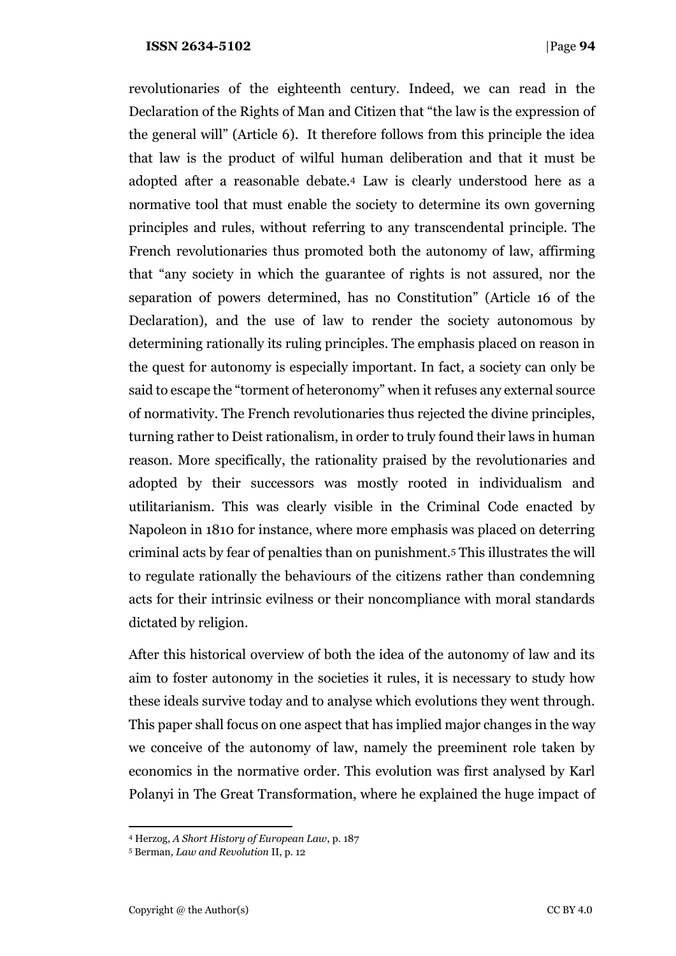revolutionaries of the eighteenth century. Indeed, we can read in the Declaration of the Rights of Man and Citizen that "the law is the expression of the general will" (Article 6). It therefore follows from this principle the idea that law is the product of wilful human deliberation and that it must be adopted after a reasonable debate.<sup>4</sup> Law is clearly understood here as a normative tool that must enable the society to determine its own governing principles and rules, without referring to any transcendental principle. The French revolutionaries thus promoted both the autonomy of law, affirming that "any society in which the guarantee of rights is not assured, nor the separation of powers determined, has no Constitution" (Article 16 of the Declaration), and the use of law to render the society autonomous by determining rationally its ruling principles. The emphasis placed on reason in the quest for autonomy is especially important. In fact, a society can only be said to escape the "torment of heteronomy" when it refuses any external source of normativity. The French revolutionaries thus rejected the divine principles, turning rather to Deist rationalism, in order to truly found their laws in human reason. More specifically, the rationality praised by the revolutionaries and adopted by their successors was mostly rooted in individualism and utilitarianism. This was clearly visible in the Criminal Code enacted by Napoleon in 1810 for instance, where more emphasis was placed on deterring criminal acts by fear of penalties than on punishment.<sup>5</sup> This illustrates the will to regulate rationally the behaviours of the citizens rather than condemning acts for their intrinsic evilness or their noncompliance with moral standards dictated by religion.

After this historical overview of both the idea of the autonomy of law and its aim to foster autonomy in the societies it rules, it is necessary to study how these ideals survive today and to analyse which evolutions they went through. This paper shall focus on one aspect that has implied major changes in the way we conceive of the autonomy of law, namely the preeminent role taken by economics in the normative order. This evolution was first analysed by Karl Polanyi in The Great Transformation, where he explained the huge impact of

<sup>4</sup> Herzog, *A Short History of European Law*, p. 187

<sup>5</sup> Berman*, Law and Revolution* II, p. 12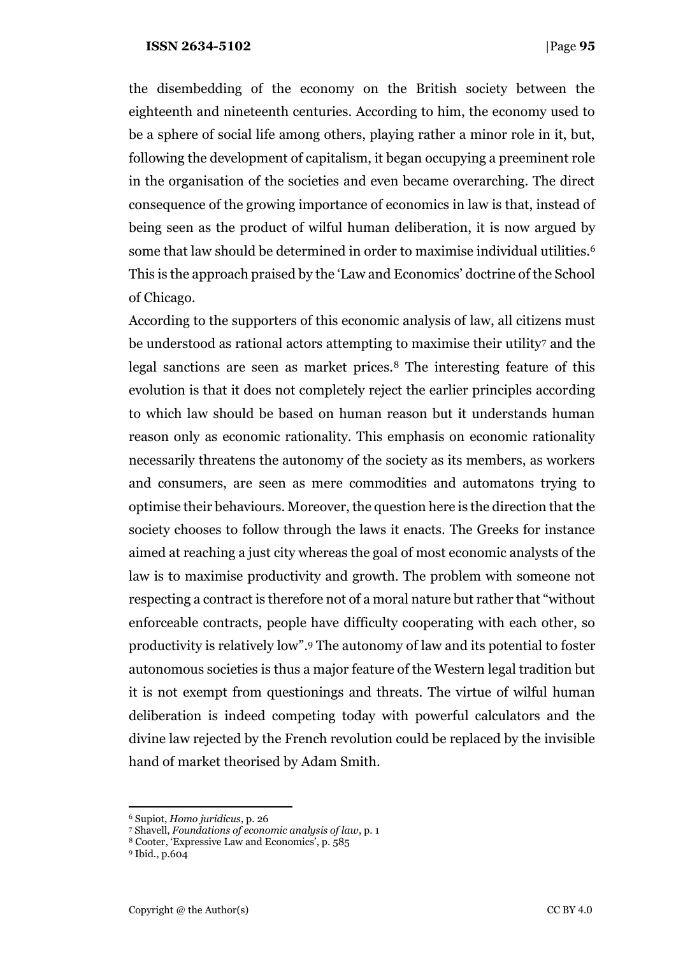the disembedding of the economy on the British society between the eighteenth and nineteenth centuries. According to him, the economy used to be a sphere of social life among others, playing rather a minor role in it, but, following the development of capitalism, it began occupying a preeminent role in the organisation of the societies and even became overarching. The direct consequence of the growing importance of economics in law is that, instead of being seen as the product of wilful human deliberation, it is now argued by some that law should be determined in order to maximise individual utilities.<sup>6</sup> This is the approach praised by the 'Law and Economics' doctrine of the School of Chicago.

According to the supporters of this economic analysis of law, all citizens must be understood as rational actors attempting to maximise their utility<sup>7</sup> and the legal sanctions are seen as market prices.<sup>8</sup> The interesting feature of this evolution is that it does not completely reject the earlier principles according to which law should be based on human reason but it understands human reason only as economic rationality. This emphasis on economic rationality necessarily threatens the autonomy of the society as its members, as workers and consumers, are seen as mere commodities and automatons trying to optimise their behaviours. Moreover, the question here is the direction that the society chooses to follow through the laws it enacts. The Greeks for instance aimed at reaching a just city whereas the goal of most economic analysts of the law is to maximise productivity and growth. The problem with someone not respecting a contract is therefore not of a moral nature but rather that "without enforceable contracts, people have difficulty cooperating with each other, so productivity is relatively low". <sup>9</sup> The autonomy of law and its potential to foster autonomous societies is thus a major feature of the Western legal tradition but it is not exempt from questionings and threats. The virtue of wilful human deliberation is indeed competing today with powerful calculators and the divine law rejected by the French revolution could be replaced by the invisible hand of market theorised by Adam Smith.

<sup>6</sup> Supiot, *Homo juridicus*, p. 26

<sup>7</sup> Shavell, *Foundations of economic analysis of law*, p. 1

<sup>8</sup> Cooter, 'Expressive Law and Economics', p. 585

<sup>9</sup> Ibid., p.604